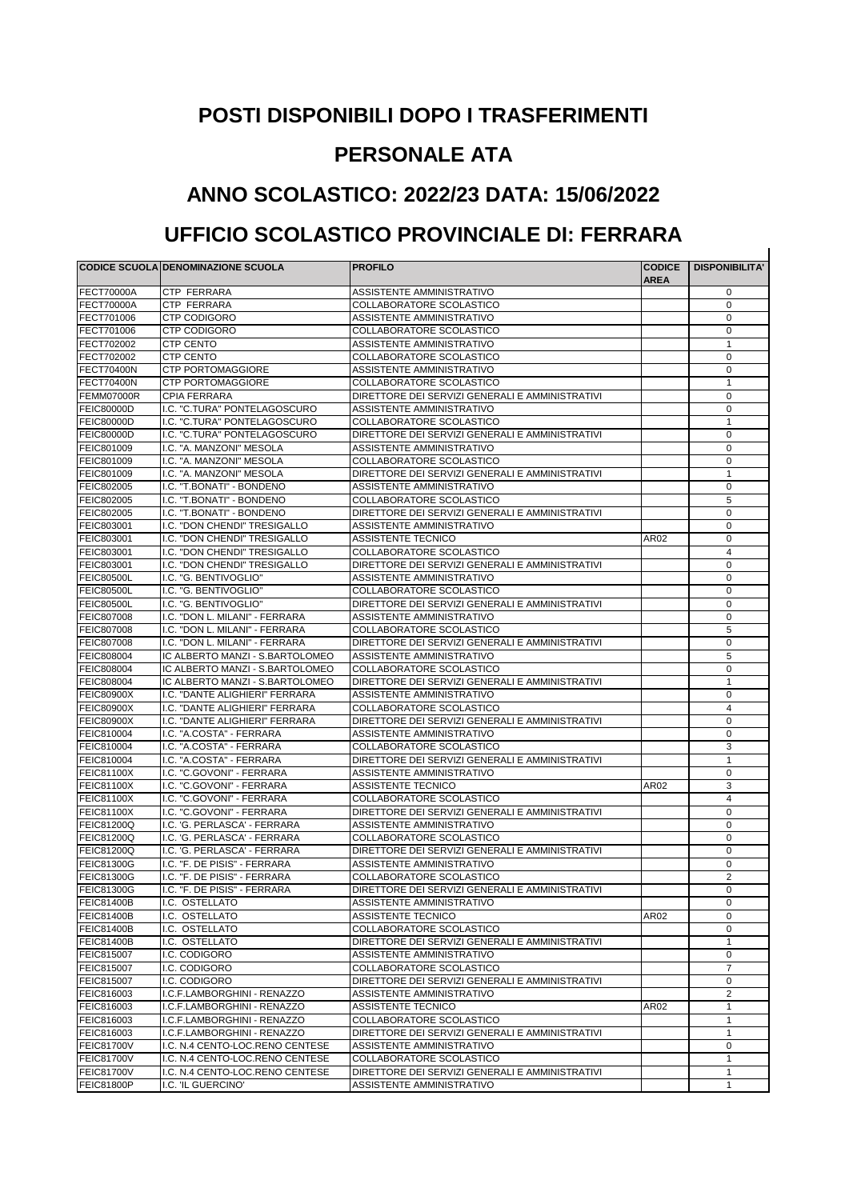## **POSTI DISPONIBILI DOPO I TRASFERIMENTI**

## **PERSONALE ATA**

## **ANNO SCOLASTICO: 2022/23 DATA: 15/06/2022**

## **UFFICIO SCOLASTICO PROVINCIALE DI: FERRARA**

|                                        |                                                                   | <b>PROFILO</b>                                        |                       |                       |
|----------------------------------------|-------------------------------------------------------------------|-------------------------------------------------------|-----------------------|-----------------------|
|                                        | <b>CODICE SCUOLA DENOMINAZIONE SCUOLA</b>                         |                                                       | <b>CODICE</b><br>AREA | <b>DISPONIBILITA'</b> |
| <b>FECT70000A</b>                      | CTP FERRARA                                                       | ASSISTENTE AMMINISTRATIVO                             |                       | 0                     |
| <b>FECT70000A</b>                      | CTP FERRARA                                                       | COLLABORATORE SCOLASTICO                              |                       | $\mathbf 0$           |
| FECT701006                             | <b>CTP CODIGORO</b>                                               | <b>ASSISTENTE AMMINISTRATIVO</b>                      |                       | 0                     |
| FECT701006                             | <b>CTP CODIGORO</b>                                               | COLLABORATORE SCOLASTICO                              |                       | 0                     |
| FECT702002                             | <b>CTP CENTO</b>                                                  | ASSISTENTE AMMINISTRATIVO                             |                       | $\mathbf{1}$          |
| FECT702002                             | <b>CTP CENTO</b>                                                  | COLLABORATORE SCOLASTICO                              |                       | 0                     |
| <b>FECT70400N</b>                      | <b>CTP PORTOMAGGIORE</b>                                          | ASSISTENTE AMMINISTRATIVO                             |                       | 0                     |
| <b>FECT70400N</b>                      | <b>CTP PORTOMAGGIORE</b>                                          | COLLABORATORE SCOLASTICO                              |                       | $\mathbf{1}$          |
| FEMM07000R                             | <b>CPIA FERRARA</b>                                               | DIRETTORE DEI SERVIZI GENERALI E AMMINISTRATIVI       |                       | 0                     |
| <b>FEIC80000D</b>                      | I.C. "C.TURA" PONTELAGOSCURO                                      | <b>ASSISTENTE AMMINISTRATIVO</b>                      |                       | 0                     |
| <b>FEIC80000D</b>                      | I.C. "C.TURA" PONTELAGOSCURO                                      | COLLABORATORE SCOLASTICO                              |                       | $\mathbf{1}$          |
| <b>FEIC80000D</b>                      | I.C. "C.TURA" PONTELAGOSCURO                                      | DIRETTORE DEI SERVIZI GENERALI E AMMINISTRATIVI       |                       | 0                     |
| FEIC801009                             | I.C. "A. MANZONI" MESOLA                                          | ASSISTENTE AMMINISTRATIVO                             |                       | $\mathbf 0$           |
| FEIC801009                             | I.C. "A. MANZONI" MESOLA                                          | COLLABORATORE SCOLASTICO                              |                       | 0                     |
| FEIC801009                             | I.C. "A. MANZONI" MESOLA                                          | DIRETTORE DEI SERVIZI GENERALI E AMMINISTRATIVI       |                       | $\mathbf{1}$          |
| FEIC802005                             | I.C. "T.BONATI" - BONDENO                                         | ASSISTENTE AMMINISTRATIVO                             |                       | 0                     |
| FEIC802005                             | I.C. "T.BONATI" - BONDENO                                         | COLLABORATORE SCOLASTICO                              |                       | 5                     |
| <b>FEIC802005</b>                      | I.C. "T.BONATI" - BONDENO                                         | DIRETTORE DEI SERVIZI GENERALI E AMMINISTRATIVI       |                       | 0                     |
| FEIC803001                             | I.C. "DON CHENDI" TRESIGALLO                                      | ASSISTENTE AMMINISTRATIVO                             |                       | 0                     |
| FEIC803001                             | I.C. "DON CHENDI" TRESIGALLO                                      | <b>ASSISTENTE TECNICO</b>                             | AR02                  | 0                     |
| FEIC803001                             | I.C. "DON CHENDI" TRESIGALLO                                      | COLLABORATORE SCOLASTICO                              |                       | 4                     |
| FEIC803001                             | I.C. "DON CHENDI" TRESIGALLO                                      | DIRETTORE DEI SERVIZI GENERALI E AMMINISTRATIVI       |                       | 0                     |
| <b>FEIC80500L</b>                      | I.C. "G. BENTIVOGLIO"                                             | ASSISTENTE AMMINISTRATIVO                             |                       | 0                     |
| <b>FEIC80500L</b>                      | I.C. "G. BENTIVOGLIO"                                             | COLLABORATORE SCOLASTICO                              |                       | 0                     |
| <b>FEIC80500L</b>                      | I.C. "G. BENTIVOGLIO"                                             | DIRETTORE DEI SERVIZI GENERALI E AMMINISTRATIVI       |                       | 0                     |
| <b>FEIC807008</b>                      | I.C. "DON L. MILANI" - FERRARA                                    | ASSISTENTE AMMINISTRATIVO                             |                       | 0                     |
| <b>FEIC807008</b>                      | I.C. "DON L. MILANI" - FERRARA                                    | COLLABORATORE SCOLASTICO                              |                       | 5                     |
| <b>FEIC807008</b>                      | I.C. "DON L. MILANI" - FERRARA<br>IC ALBERTO MANZI - S.BARTOLOMEO | DIRETTORE DEI SERVIZI GENERALI E AMMINISTRATIVI       |                       | 0                     |
| <b>FEIC808004</b><br><b>FEIC808004</b> | IC ALBERTO MANZI - S.BARTOLOMEO                                   | ASSISTENTE AMMINISTRATIVO<br>COLLABORATORE SCOLASTICO |                       | 5<br>0                |
| FEIC808004                             | IC ALBERTO MANZI - S.BARTOLOMEO                                   | DIRETTORE DEI SERVIZI GENERALI E AMMINISTRATIVI       |                       | $\mathbf{1}$          |
| <b>FEIC80900X</b>                      | I.C. "DANTE ALIGHIERI" FERRARA                                    | ASSISTENTE AMMINISTRATIVO                             |                       | 0                     |
| <b>FEIC80900X</b>                      | I.C. "DANTE ALIGHIERI" FERRARA                                    | COLLABORATORE SCOLASTICO                              |                       | 4                     |
| <b>FEIC80900X</b>                      | I.C. "DANTE ALIGHIERI" FERRARA                                    | DIRETTORE DEI SERVIZI GENERALI E AMMINISTRATIVI       |                       | 0                     |
| FEIC810004                             | I.C. "A.COSTA" - FERRARA                                          | ASSISTENTE AMMINISTRATIVO                             |                       | 0                     |
| FEIC810004                             | I.C. "A.COSTA" - FERRARA                                          | COLLABORATORE SCOLASTICO                              |                       | 3                     |
| FEIC810004                             | I.C. "A.COSTA" - FERRARA                                          | DIRETTORE DEI SERVIZI GENERALI E AMMINISTRATIVI       |                       | $\mathbf{1}$          |
| <b>FEIC81100X</b>                      | I.C. "C.GOVONI" - FERRARA                                         | ASSISTENTE AMMINISTRATIVO                             |                       | 0                     |
| <b>FEIC81100X</b>                      | I.C. "C.GOVONI" - FERRARA                                         | <b>ASSISTENTE TECNICO</b>                             | AR02                  | 3                     |
| <b>FEIC81100X</b>                      | I.C. "C.GOVONI" - FERRARA                                         | COLLABORATORE SCOLASTICO                              |                       | 4                     |
| <b>FEIC81100X</b>                      | I.C. "C.GOVONI" - FERRARA                                         | DIRETTORE DEI SERVIZI GENERALI E AMMINISTRATIVI       |                       | 0                     |
| <b>FEIC81200Q</b>                      | I.C. 'G. PERLASCA' - FERRARA                                      | <b>ASSISTENTE AMMINISTRATIVO</b>                      |                       | 0                     |
| <b>FEIC81200Q</b>                      | I.C. 'G. PERLASCA' - FERRARA                                      | COLLABORATORE SCOLASTICO                              |                       | 0                     |
| <b>FEIC81200Q</b>                      | I.C. 'G. PERLASCA' - FERRARA                                      | DIRETTORE DEI SERVIZI GENERALI E AMMINISTRATIVI       |                       | 0                     |
| <b>FEIC81300G</b>                      | I.C. "F. DE PISIS" - FERRARA                                      | ASSISTENTE AMMINISTRATIVO                             |                       | 0                     |
| <b>FEIC81300G</b>                      | I.C. "F. DE PISIS" - FERRARA                                      | COLLABORATORE SCOLASTICO                              |                       | 2                     |
| <b>FEIC81300G</b>                      | I.C. "F. DE PISIS" - FERRARA                                      | DIRETTORE DEI SERVIZI GENERALI E AMMINISTRATIVI       |                       | 0                     |
| <b>FEIC81400B</b>                      | I.C. OSTELLATO                                                    | ASSISTENTE AMMINISTRATIVO                             |                       | 0                     |
| <b>FEIC81400B</b>                      | I.C. OSTELLATO                                                    | ASSISTENTE TECNICO                                    | AR02                  | 0                     |
| <b>FEIC81400B</b>                      | I.C. OSTELLATO                                                    | COLLABORATORE SCOLASTICO                              |                       | 0                     |
| <b>FEIC81400B</b>                      | I.C. OSTELLATO                                                    | DIRETTORE DEI SERVIZI GENERALI E AMMINISTRATIVI       |                       | $\mathbf{1}$          |
| FEIC815007                             | I.C. CODIGORO                                                     | <b>ASSISTENTE AMMINISTRATIVO</b>                      |                       | 0                     |
| FEIC815007                             | I.C. CODIGORO                                                     | COLLABORATORE SCOLASTICO                              |                       | $\overline{7}$        |
| FEIC815007                             | I.C. CODIGORO                                                     | DIRETTORE DEI SERVIZI GENERALI E AMMINISTRATIVI       |                       | 0                     |
| FEIC816003                             | I.C.F.LAMBORGHINI - RENAZZO                                       | ASSISTENTE AMMINISTRATIVO                             |                       | $\overline{2}$        |
| FEIC816003                             | I.C.F.LAMBORGHINI - RENAZZO                                       | ASSISTENTE TECNICO                                    | AR02                  | $\mathbf{1}$          |
| FEIC816003                             | I.C.F.LAMBORGHINI - RENAZZO                                       | COLLABORATORE SCOLASTICO                              |                       | $\mathbf{1}$          |
| FEIC816003                             | I.C.F.LAMBORGHINI - RENAZZO                                       | DIRETTORE DEI SERVIZI GENERALI E AMMINISTRATIVI       |                       | $\mathbf{1}$          |
| <b>FEIC81700V</b>                      | I.C. N.4 CENTO-LOC.RENO CENTESE                                   | ASSISTENTE AMMINISTRATIVO                             |                       | 0                     |
| <b>FEIC81700V</b>                      | I.C. N.4 CENTO-LOC.RENO CENTESE                                   | COLLABORATORE SCOLASTICO                              |                       | $\mathbf{1}$          |
| <b>FEIC81700V</b>                      | I.C. N.4 CENTO-LOC.RENO CENTESE                                   | DIRETTORE DEI SERVIZI GENERALI E AMMINISTRATIVI       |                       | $\mathbf{1}$          |
| <b>FEIC81800P</b>                      | I.C. 'IL GUERCINO'                                                | ASSISTENTE AMMINISTRATIVO                             |                       | $\mathbf{1}$          |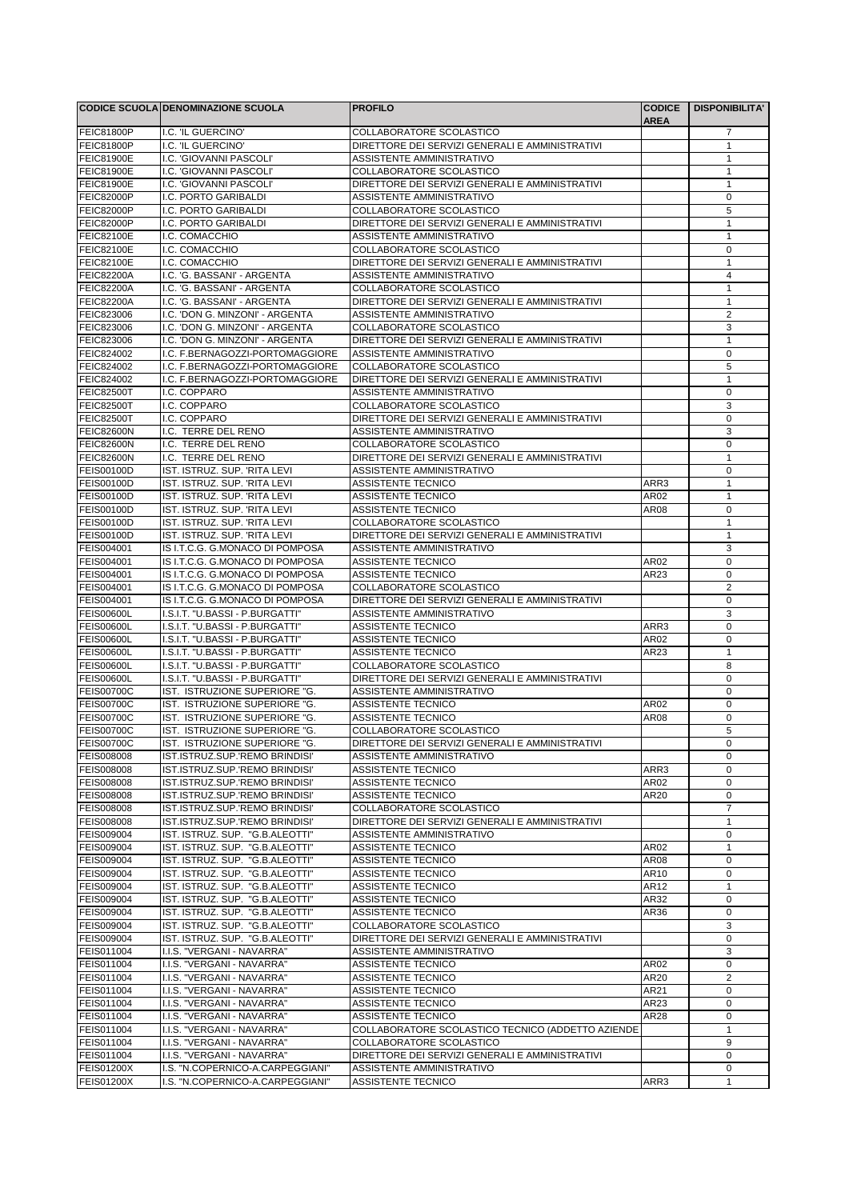|                                 | CODICE SCUOLA DENOMINAZIONE SCUOLA                                 | <b>PROFILO</b>                                                               | <b>CODICE</b><br><b>AREA</b> | <b>DISPONIBILITA'</b>       |
|---------------------------------|--------------------------------------------------------------------|------------------------------------------------------------------------------|------------------------------|-----------------------------|
| <b>FEIC81800P</b>               | I.C. 'IL GUERCINO'                                                 | COLLABORATORE SCOLASTICO                                                     |                              | 7                           |
| <b>FEIC81800P</b>               | I.C. 'IL GUERCINO'                                                 | DIRETTORE DEI SERVIZI GENERALI E AMMINISTRATIVI                              |                              | $\mathbf{1}$                |
| <b>FEIC81900E</b>               | I.C. 'GIOVANNI PASCOLI'                                            | ASSISTENTE AMMINISTRATIVO                                                    |                              | $\mathbf{1}$                |
| <b>FEIC81900E</b>               | I.C. 'GIOVANNI PASCOLI'                                            | COLLABORATORE SCOLASTICO                                                     |                              | $\mathbf{1}$                |
| <b>FEIC81900E</b>               | I.C. 'GIOVANNI PASCOLI'                                            | DIRETTORE DEI SERVIZI GENERALI E AMMINISTRATIVI                              |                              | $\mathbf{1}$                |
| <b>FEIC82000P</b>               | I.C. PORTO GARIBALDI                                               | <b>ASSISTENTE AMMINISTRATIVO</b>                                             |                              | $\pmb{0}$                   |
| <b>FEIC82000P</b>               | I.C. PORTO GARIBALDI                                               | COLLABORATORE SCOLASTICO                                                     |                              | 5                           |
| <b>FEIC82000P</b>               | I.C. PORTO GARIBALDI                                               | DIRETTORE DEI SERVIZI GENERALI E AMMINISTRATIVI                              |                              | $\mathbf{1}$                |
| <b>FEIC82100E</b>               | I.C. COMACCHIO                                                     | ASSISTENTE AMMINISTRATIVO                                                    |                              | $\mathbf{1}$                |
| <b>FEIC82100E</b>               | I.C. COMACCHIO                                                     | COLLABORATORE SCOLASTICO                                                     |                              | $\mathbf 0$                 |
| <b>FEIC82100E</b>               | I.C. COMACCHIO                                                     | DIRETTORE DEI SERVIZI GENERALI E AMMINISTRATIVI                              |                              | $\mathbf{1}$                |
| <b>FEIC82200A</b>               | I.C. 'G. BASSANI' - ARGENTA                                        | <b>ASSISTENTE AMMINISTRATIVO</b>                                             |                              | 4                           |
| <b>FEIC82200A</b>               | I.C. 'G. BASSANI' - ARGENTA                                        | COLLABORATORE SCOLASTICO                                                     |                              | $\mathbf{1}$                |
| <b>FEIC82200A</b>               | I.C. 'G. BASSANI' - ARGENTA                                        | DIRETTORE DEI SERVIZI GENERALI E AMMINISTRATIVI<br>ASSISTENTE AMMINISTRATIVO |                              | 1                           |
| FEIC823006<br>FEIC823006        | I.C. 'DON G. MINZONI' - ARGENTA<br>I.C. 'DON G. MINZONI' - ARGENTA | COLLABORATORE SCOLASTICO                                                     |                              | $\overline{2}$<br>3         |
| FEIC823006                      | I.C. 'DON G. MINZONI' - ARGENTA                                    | DIRETTORE DEI SERVIZI GENERALI E AMMINISTRATIVI                              |                              | $\mathbf{1}$                |
| FEIC824002                      | I.C. F.BERNAGOZZI-PORTOMAGGIORE                                    | ASSISTENTE AMMINISTRATIVO                                                    |                              | $\pmb{0}$                   |
| FEIC824002                      | I.C. F.BERNAGOZZI-PORTOMAGGIORE                                    | COLLABORATORE SCOLASTICO                                                     |                              | 5                           |
| FEIC824002                      | I.C. F.BERNAGOZZI-PORTOMAGGIORE                                    | DIRETTORE DEI SERVIZI GENERALI E AMMINISTRATIVI                              |                              | $\mathbf{1}$                |
| <b>FEIC82500T</b>               | I.C. COPPARO                                                       | ASSISTENTE AMMINISTRATIVO                                                    |                              | $\mathbf 0$                 |
| <b>FEIC82500T</b>               | I.C. COPPARO                                                       | COLLABORATORE SCOLASTICO                                                     |                              | 3                           |
| <b>FEIC82500T</b>               | I.C. COPPARO                                                       | DIRETTORE DEI SERVIZI GENERALI E AMMINISTRATIVI                              |                              | $\mathbf 0$                 |
| <b>FEIC82600N</b>               | I.C. TERRE DEL RENO                                                | ASSISTENTE AMMINISTRATIVO                                                    |                              | 3                           |
| <b>FEIC82600N</b>               | I.C. TERRE DEL RENO                                                | COLLABORATORE SCOLASTICO                                                     |                              | $\pmb{0}$                   |
| <b>FEIC82600N</b>               | I.C. TERRE DEL RENO                                                | DIRETTORE DEI SERVIZI GENERALI E AMMINISTRATIVI                              |                              | $\mathbf{1}$                |
| <b>FEIS00100D</b>               | IST. ISTRUZ. SUP. 'RITA LEVI                                       | ASSISTENTE AMMINISTRATIVO                                                    |                              | 0                           |
| <b>FEIS00100D</b>               | IST. ISTRUZ. SUP. 'RITA LEVI                                       | ASSISTENTE TECNICO                                                           | ARR3                         | $\mathbf{1}$                |
| <b>FEIS00100D</b>               | IST. ISTRUZ. SUP. 'RITA LEVI                                       | ASSISTENTE TECNICO                                                           | AR02                         | $\mathbf{1}$                |
| <b>FEIS00100D</b>               | IST. ISTRUZ. SUP. 'RITA LEVI                                       | <b>ASSISTENTE TECNICO</b>                                                    | AR08                         | $\pmb{0}$                   |
| <b>FEIS00100D</b>               | IST. ISTRUZ. SUP. 'RITA LEVI                                       | COLLABORATORE SCOLASTICO                                                     |                              | $\mathbf{1}$                |
| <b>FEIS00100D</b>               | IST. ISTRUZ. SUP. 'RITA LEVI                                       | DIRETTORE DEI SERVIZI GENERALI E AMMINISTRATIVI                              |                              | $\mathbf{1}$                |
| FEIS004001                      | IS I.T.C.G. G.MONACO DI POMPOSA                                    | ASSISTENTE AMMINISTRATIVO                                                    |                              | 3                           |
| FEIS004001                      | IS I.T.C.G. G.MONACO DI POMPOSA                                    | <b>ASSISTENTE TECNICO</b>                                                    | AR02                         | $\mathbf 0$                 |
| FEIS004001<br>FEIS004001        | IS I.T.C.G. G.MONACO DI POMPOSA<br>IS I.T.C.G. G.MONACO DI POMPOSA | <b>ASSISTENTE TECNICO</b><br>COLLABORATORE SCOLASTICO                        | AR23                         | $\pmb{0}$<br>$\overline{2}$ |
| FEIS004001                      | IS I.T.C.G. G.MONACO DI POMPOSA                                    | DIRETTORE DEI SERVIZI GENERALI E AMMINISTRATIVI                              |                              | $\pmb{0}$                   |
| <b>FEIS00600L</b>               | I.S.I.T. "U.BASSI - P.BURGATTI"                                    | ASSISTENTE AMMINISTRATIVO                                                    |                              | 3                           |
| <b>FEIS00600L</b>               | I.S.I.T. "U.BASSI - P.BURGATTI"                                    | <b>ASSISTENTE TECNICO</b>                                                    | ARR3                         | $\pmb{0}$                   |
| <b>FEIS00600L</b>               | I.S.I.T. "U.BASSI - P.BURGATTI"                                    | ASSISTENTE TECNICO                                                           | AR02                         | $\pmb{0}$                   |
| <b>FEIS00600L</b>               | I.S.I.T. "U.BASSI - P.BURGATTI"                                    | <b>ASSISTENTE TECNICO</b>                                                    | AR23                         | $\mathbf{1}$                |
| <b>FEIS00600L</b>               | I.S.I.T. "U.BASSI - P.BURGATTI"                                    | COLLABORATORE SCOLASTICO                                                     |                              | 8                           |
| <b>FEIS00600L</b>               | I.S.I.T. "U.BASSI - P.BURGATTI"                                    | DIRETTORE DEI SERVIZI GENERALI E AMMINISTRATIVI                              |                              | $\pmb{0}$                   |
| <b>FEIS00700C</b>               | IST. ISTRUZIONE SUPERIORE "G.                                      | ASSISTENTE AMMINISTRATIVO                                                    |                              | 0                           |
| <b>FEIS00700C</b>               | IST. ISTRUZIONE SUPERIORE "G.                                      | <b>ASSISTENTE TECNICO</b>                                                    | AR02                         | $\mathbf 0$                 |
| <b>FEIS00700C</b>               | IST. ISTRUZIONE SUPERIORE "G.                                      | <b>ASSISTENTE TECNICO</b>                                                    | AR08                         | $\mathbf 0$                 |
| <b>FEIS00700C</b>               | IST. ISTRUZIONE SUPERIORE "G.                                      | COLLABORATORE SCOLASTICO                                                     |                              | 5                           |
| <b>FEIS00700C</b>               | IST. ISTRUZIONE SUPERIORE "G.                                      | DIRETTORE DEI SERVIZI GENERALI E AMMINISTRATIVI                              |                              | 0                           |
| FEIS008008                      | IST.ISTRUZ.SUP.'REMO BRINDISI'                                     | ASSISTENTE AMMINISTRATIVO                                                    |                              | 0                           |
| FEIS008008                      | IST.ISTRUZ.SUP.'REMO BRINDISI'                                     | <b>ASSISTENTE TECNICO</b>                                                    | ARR3                         | 0                           |
| <b>FEIS008008</b>               | IST.ISTRUZ.SUP.'REMO BRINDISI'                                     | ASSISTENTE TECNICO                                                           | AR02                         | 0                           |
| <b>FEIS008008</b>               | IST.ISTRUZ.SUP.'REMO BRINDISI'                                     | ASSISTENTE TECNICO                                                           | AR20                         | 0                           |
| <b>FEIS008008</b>               | IST.ISTRUZ.SUP.'REMO BRINDISI'                                     | COLLABORATORE SCOLASTICO                                                     |                              | $\overline{7}$              |
| <b>FEIS008008</b><br>FEIS009004 | IST.ISTRUZ.SUP.'REMO BRINDISI'<br>IST. ISTRUZ. SUP. "G.B.ALEOTTI"  | DIRETTORE DEI SERVIZI GENERALI E AMMINISTRATIVI                              |                              | $\mathbf{1}$<br>0           |
|                                 |                                                                    | ASSISTENTE AMMINISTRATIVO                                                    |                              |                             |
| FEIS009004<br>FEIS009004        | IST. ISTRUZ. SUP. "G.B.ALEOTTI"<br>IST. ISTRUZ. SUP. "G.B.ALEOTTI" | <b>ASSISTENTE TECNICO</b><br>ASSISTENTE TECNICO                              | AR02<br>AR08                 | 1<br>$\pmb{0}$              |
| FEIS009004                      | IST. ISTRUZ. SUP. "G.B.ALEOTTI"                                    | ASSISTENTE TECNICO                                                           | AR10                         | 0                           |
| FEIS009004                      | IST. ISTRUZ. SUP. "G.B.ALEOTTI"                                    | ASSISTENTE TECNICO                                                           | AR12                         | $\mathbf{1}$                |
| FEIS009004                      | IST. ISTRUZ. SUP. "G.B.ALEOTTI"                                    | ASSISTENTE TECNICO                                                           | AR32                         | $\pmb{0}$                   |
| FEIS009004                      | IST. ISTRUZ. SUP. "G.B.ALEOTTI"                                    | <b>ASSISTENTE TECNICO</b>                                                    | AR36                         | $\pmb{0}$                   |
| FEIS009004                      | IST. ISTRUZ. SUP. "G.B.ALEOTTI"                                    | COLLABORATORE SCOLASTICO                                                     |                              | 3                           |
| FEIS009004                      | IST. ISTRUZ. SUP. "G.B.ALEOTTI"                                    | DIRETTORE DEI SERVIZI GENERALI E AMMINISTRATIVI                              |                              | 0                           |
| FEIS011004                      | I.I.S. "VERGANI - NAVARRA"                                         | ASSISTENTE AMMINISTRATIVO                                                    |                              | 3                           |
| FEIS011004                      | I.I.S. "VERGANI - NAVARRA"                                         | ASSISTENTE TECNICO                                                           | AR02                         | $\pmb{0}$                   |
| FEIS011004                      | I.I.S. "VERGANI - NAVARRA"                                         | ASSISTENTE TECNICO                                                           | AR20                         | 2                           |
| FEIS011004                      | I.I.S. "VERGANI - NAVARRA"                                         | ASSISTENTE TECNICO                                                           | AR21                         | $\pmb{0}$                   |
| FEIS011004                      | I.I.S. "VERGANI - NAVARRA"                                         | ASSISTENTE TECNICO                                                           | AR23                         | 0                           |
| FEIS011004                      | I.I.S. "VERGANI - NAVARRA"                                         | ASSISTENTE TECNICO                                                           | AR28                         | 0                           |
| FEIS011004                      | I.I.S. "VERGANI - NAVARRA"                                         | COLLABORATORE SCOLASTICO TECNICO (ADDETTO AZIENDE                            |                              | $\mathbf{1}$                |
| FEIS011004                      | I.I.S. "VERGANI - NAVARRA"                                         | COLLABORATORE SCOLASTICO                                                     |                              | 9                           |
| FEIS011004                      | I.I.S. "VERGANI - NAVARRA"                                         | DIRETTORE DEI SERVIZI GENERALI E AMMINISTRATIVI                              |                              | 0                           |
| <b>FEIS01200X</b>               | I.S. "N.COPERNICO-A.CARPEGGIANI"                                   | ASSISTENTE AMMINISTRATIVO                                                    |                              | 0                           |
| <b>FEIS01200X</b>               | I.S. "N.COPERNICO-A.CARPEGGIANI"                                   | ASSISTENTE TECNICO                                                           | ARR3                         | $\mathbf{1}$                |